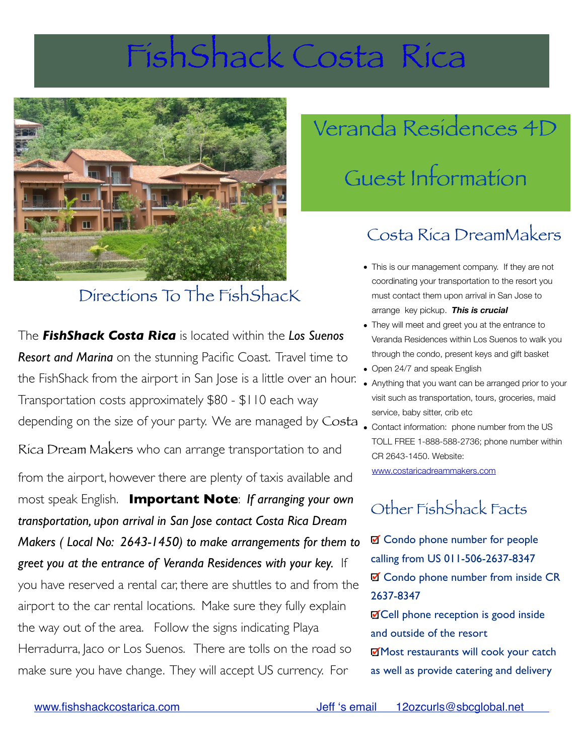## FishShack Costa Rica



### Directions To The FishShacK

The *FishShack Costa Rica* is located within the *Los Suenos Resort and Marina* on the stunning Pacific Coast. Travel time to the FishShack from the airport in San Jose is a little over an hour. Transportation costs approximately \$80 - \$110 each way service, baby sitter, crib etc<br>Contact information: phone depending on the size of your party. We are managed by Costa

Rica Dream Makers who can arrange transportation to and

from the airport, however there are plenty of taxis available and most speak English. **Important Note**: *If arranging your own transportation, upon arrival in San Jose contact Costa Rica Dream Makers ( Local No: 2643-1450) to make arrangements for them to greet you at the entrance of Veranda Residences with your key.* If you have reserved a rental car, there are shuttles to and from the airport to the car rental locations. Make sure they fully explain the way out of the area. Follow the signs indicating Playa Herradurra, Jaco or Los Suenos. There are tolls on the road so make sure you have change. They will accept US currency. For

# Veranda Residences 4D Guest Information

#### Costa Rica DreamMakers

- This is our management company. If they are not coordinating your transportation to the resort you must contact them upon arrival in San Jose to arrange key pickup. *This is crucial*
- They will meet and greet you at the entrance to Veranda Residences within Los Suenos to walk you through the condo, present keys and gift basket
- Open 24/7 and speak English
- Anything that you want can be arranged prior to your visit such as transportation, tours, groceries, maid
- Contact information: phone number from the US TOLL FREE 1-888-588-2736; phone number within CR 2643-1450. Website:

[www.costaricadreammakers.com](http://www.costaricadreammakers.com)

#### Other FishShack Facts

■ Condo phone number for people calling from US 011-506-2637-8347 ■ Condo phone number from inside CR 2637-8347 **Ø Cell phone reception is good inside** and outside of the resort Most restaurants will cook your catch as well as provide catering and delivery